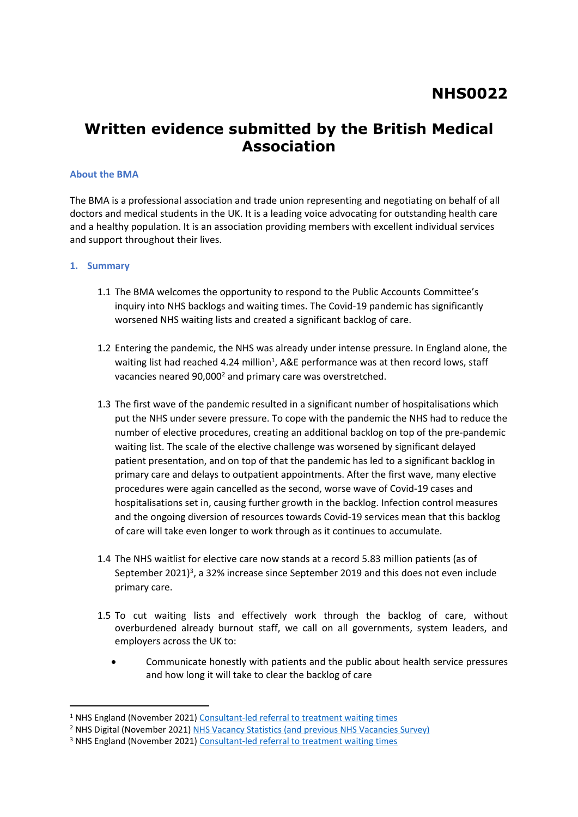# **Written evidence submitted by the British Medical Association**

## **About the BMA**

The BMA is a professional association and trade union representing and negotiating on behalf of all doctors and medical students in the UK. It is a leading voice advocating for outstanding health care and a healthy population. It is an association providing members with excellent individual services and support throughout their lives.

#### **1. Summary**

- 1.1 The BMA welcomes the opportunity to respond to the Public Accounts Committee's inquiry into NHS backlogs and waiting times. The Covid-19 pandemic has significantly worsened NHS waiting lists and created a significant backlog of care.
- 1.2 Entering the pandemic, the NHS was already under intense pressure. In England alone, the waiting list had reached 4.24 million<sup>1</sup>, A&E performance was at then record lows, staff vacancies neared 90,000<sup>2</sup> and primary care was overstretched.
- 1.3 The first wave of the pandemic resulted in a significant number of hospitalisations which put the NHS under severe pressure. To cope with the pandemic the NHS had to reduce the number of elective procedures, creating an additional backlog on top of the pre-pandemic waiting list. The scale of the elective challenge was worsened by significant delayed patient presentation, and on top of that the pandemic has led to a significant backlog in primary care and delays to outpatient appointments. After the first wave, many elective procedures were again cancelled as the second, worse wave of Covid-19 cases and hospitalisations set in, causing further growth in the backlog. Infection control measures and the ongoing diversion of resources towards Covid-19 services mean that this backlog of care will take even longer to work through as it continues to accumulate.
- 1.4 The NHS waitlist for elective care now stands at a record 5.83 million patients (as of September 2021)<sup>3</sup>, a 32% increase since September 2019 and this does not even include primary care.
- 1.5 To cut waiting lists and effectively work through the backlog of care, without overburdened already burnout staff, we call on all governments, system leaders, and employers across the UK to:
	- Communicate honestly with patients and the public about health service pressures and how long it will take to clear the backlog of care

<sup>&</sup>lt;sup>1</sup> NHS England (November 2021) [Consultant-led](https://www.england.nhs.uk/statistics/statistical-work-areas/rtt-waiting-times/) [referral](https://www.england.nhs.uk/statistics/statistical-work-areas/rtt-waiting-times/) [to](https://www.england.nhs.uk/statistics/statistical-work-areas/rtt-waiting-times/) [treatment](https://www.england.nhs.uk/statistics/statistical-work-areas/rtt-waiting-times/) [waiting](https://www.england.nhs.uk/statistics/statistical-work-areas/rtt-waiting-times/) [times](https://www.england.nhs.uk/statistics/statistical-work-areas/rtt-waiting-times/)

<sup>&</sup>lt;sup>2</sup> [NHS](https://digital.nhs.uk/data-and-information/publications/statistical/nhs-vacancies-survey) Digital (November 2021) NHS [Vacancy](https://digital.nhs.uk/data-and-information/publications/statistical/nhs-vacancies-survey) [Statistics](https://digital.nhs.uk/data-and-information/publications/statistical/nhs-vacancies-survey) [\(and](https://digital.nhs.uk/data-and-information/publications/statistical/nhs-vacancies-survey) [previous](https://digital.nhs.uk/data-and-information/publications/statistical/nhs-vacancies-survey) NHS [Vacancies](https://digital.nhs.uk/data-and-information/publications/statistical/nhs-vacancies-survey) [Survey\)](https://digital.nhs.uk/data-and-information/publications/statistical/nhs-vacancies-survey)

<sup>&</sup>lt;sup>3</sup> NHS England (November 2021) [Consultant-led](https://www.england.nhs.uk/statistics/statistical-work-areas/rtt-waiting-times/) [referral](https://www.england.nhs.uk/statistics/statistical-work-areas/rtt-waiting-times/) [to](https://www.england.nhs.uk/statistics/statistical-work-areas/rtt-waiting-times/) [treatment](https://www.england.nhs.uk/statistics/statistical-work-areas/rtt-waiting-times/) [waiting](https://www.england.nhs.uk/statistics/statistical-work-areas/rtt-waiting-times/) [times](https://www.england.nhs.uk/statistics/statistical-work-areas/rtt-waiting-times/)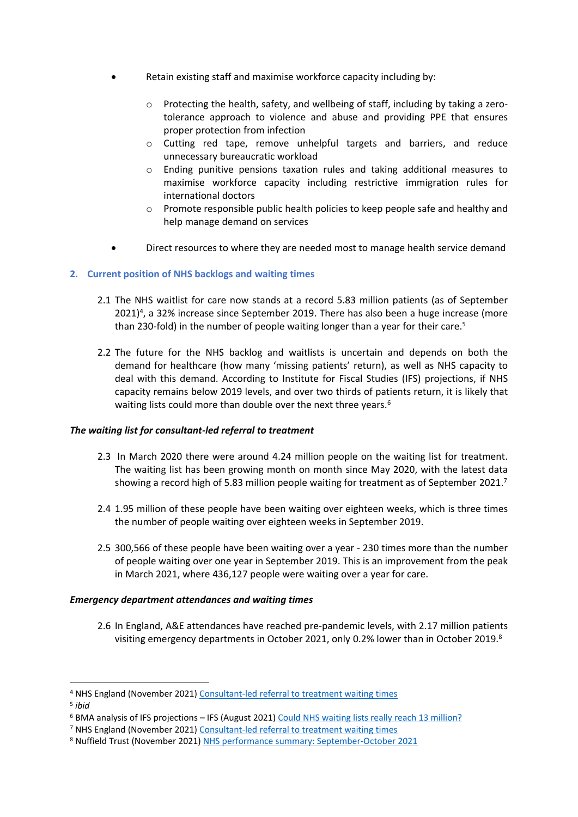- Retain existing staff and maximise workforce capacity including by:
	- o Protecting the health, safety, and wellbeing of staff, including by taking a zerotolerance approach to violence and abuse and providing PPE that ensures proper protection from infection
	- o Cutting red tape, remove unhelpful targets and barriers, and reduce unnecessary bureaucratic workload
	- o Ending punitive pensions taxation rules and taking additional measures to maximise workforce capacity including restrictive immigration rules for international doctors
	- $\circ$  Promote responsible public health policies to keep people safe and healthy and help manage demand on services
- Direct resources to where they are needed most to manage health service demand

## **2. Current position of NHS backlogs and waiting times**

- 2.1 The NHS waitlist for care now stands at a record 5.83 million patients (as of September 2021)<sup>4</sup> , a 32% increase since September 2019. There has also been a huge increase (more than 230-fold) in the number of people waiting longer than a year for their care.<sup>5</sup>
- 2.2 The future for the NHS backlog and waitlists is uncertain and depends on both the demand for healthcare (how many 'missing patients' return), as well as NHS capacity to deal with this demand. According to Institute for Fiscal Studies (IFS) projections, if NHS capacity remains below 2019 levels, and over two thirds of patients return, it is likely that waiting lists could more than double over the next three years.<sup>6</sup>

## *The waiting list for consultant-led referral to treatment*

- 2.3 In March 2020 there were around 4.24 million people on the waiting list for treatment. The waiting list has been growing month on month since May 2020, with the latest data showing a record high of 5.83 million people waiting for treatment as of September 2021.<sup>7</sup>
- 2.4 1.95 million of these people have been waiting over eighteen weeks, which is three times the number of people waiting over eighteen weeks in September 2019.
- 2.5 300,566 of these people have been waiting over a year 230 times more than the number of people waiting over one year in September 2019. This is an improvement from the peak in March 2021, where 436,127 people were waiting over a year for care.

## *Emergency department attendances and waiting times*

2.6 In England, A&E attendances have reached pre-pandemic levels, with 2.17 million patients visiting emergency departments in October 2021, only 0.2% lower than in October 2019.<sup>8</sup>

<sup>4</sup> NHS England (November 2021) [Consultant-led](https://www.england.nhs.uk/statistics/statistical-work-areas/rtt-waiting-times/) [referral](https://www.england.nhs.uk/statistics/statistical-work-areas/rtt-waiting-times/) [to](https://www.england.nhs.uk/statistics/statistical-work-areas/rtt-waiting-times/) [treatment](https://www.england.nhs.uk/statistics/statistical-work-areas/rtt-waiting-times/) [waiting](https://www.england.nhs.uk/statistics/statistical-work-areas/rtt-waiting-times/) [times](https://www.england.nhs.uk/statistics/statistical-work-areas/rtt-waiting-times/)

<sup>5</sup> *ibid*

<sup>6</sup> BMA analysis of IFS projections – IFS (August 2021) [Could](https://ifs.org.uk/publications/15557) [NHS](https://ifs.org.uk/publications/15557) [waiting](https://ifs.org.uk/publications/15557) [lists](https://ifs.org.uk/publications/15557) [really](https://ifs.org.uk/publications/15557) [reach](https://ifs.org.uk/publications/15557) [13](https://ifs.org.uk/publications/15557) [million?](https://ifs.org.uk/publications/15557)

<sup>7</sup> NHS England (November 2021) [Consultant-led](https://www.england.nhs.uk/statistics/statistical-work-areas/rtt-waiting-times/) [referral](https://www.england.nhs.uk/statistics/statistical-work-areas/rtt-waiting-times/) [to](https://www.england.nhs.uk/statistics/statistical-work-areas/rtt-waiting-times/) [treatment](https://www.england.nhs.uk/statistics/statistical-work-areas/rtt-waiting-times/) [waiting](https://www.england.nhs.uk/statistics/statistical-work-areas/rtt-waiting-times/) [times](https://www.england.nhs.uk/statistics/statistical-work-areas/rtt-waiting-times/)

<sup>8</sup> Nuffield Trust (November 2021) [NHS](https://www.nuffieldtrust.org.uk/news-item/nhs-performance-summary-september-october-2021#planned-elective-and-diagnostic-care) [performance](https://www.nuffieldtrust.org.uk/news-item/nhs-performance-summary-september-october-2021#planned-elective-and-diagnostic-care) [summary:](https://www.nuffieldtrust.org.uk/news-item/nhs-performance-summary-september-october-2021#planned-elective-and-diagnostic-care) [September-October](https://www.nuffieldtrust.org.uk/news-item/nhs-performance-summary-september-october-2021#planned-elective-and-diagnostic-care) [2021](https://www.nuffieldtrust.org.uk/news-item/nhs-performance-summary-september-october-2021#planned-elective-and-diagnostic-care)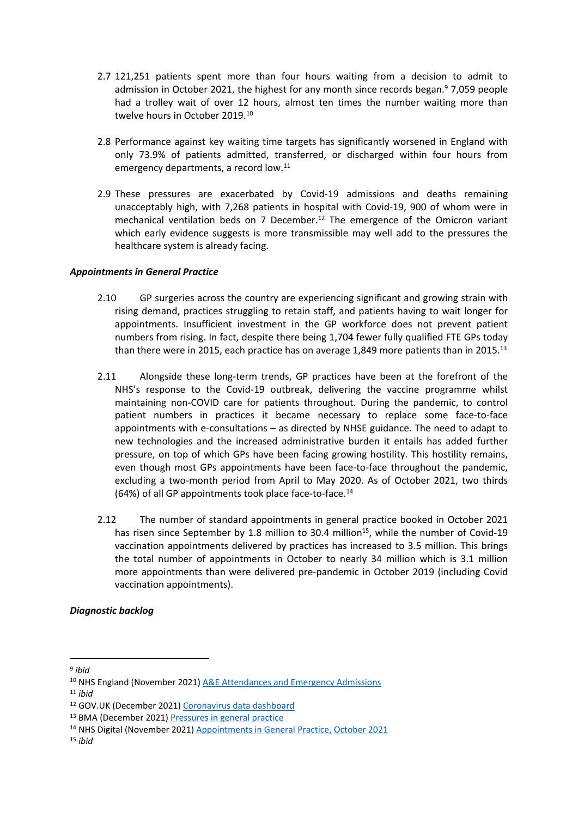- 2.7 121,251 patients spent more than four hours waiting from a decision to admit to admission in October 2021, the highest for any month since records began.<sup>9</sup> 7,059 people had a trolley wait of over 12 hours, almost ten times the number waiting more than twelve hours in October 2019.<sup>10</sup>
- 2.8 Performance against key waiting time targets has significantly worsened in England with only 73.9% of patients admitted, transferred, or discharged within four hours from emergency departments, a record low.<sup>11</sup>
- 2.9 These pressures are exacerbated by Covid-19 admissions and deaths remaining unacceptably high, with 7,268 patients in hospital with Covid-19, 900 of whom were in mechanical ventilation beds on 7 December.<sup>12</sup> The emergence of the Omicron variant which early evidence suggests is more transmissible may well add to the pressures the healthcare system is already facing.

## *Appointments in General Practice*

- 2.10 GP surgeries across the country are experiencing significant and growing strain with rising demand, practices struggling to retain staff, and patients having to wait longer for appointments. Insufficient investment in the GP workforce does not prevent patient numbers from rising. In fact, despite there being 1,704 fewer fully qualified FTE GPs today than there were in 2015, each practice has on average 1,849 more patients than in 2015.<sup>13</sup>
- 2.11 Alongside these long-term trends, GP practices have been at the forefront of the NHS's response to the Covid-19 outbreak, delivering the vaccine programme whilst maintaining non-COVID care for patients throughout. During the pandemic, to control patient numbers in practices it became necessary to replace some face-to-face appointments with e-consultations – as directed by NHSE guidance. The need to adapt to new technologies and the increased administrative burden it entails has added further pressure, on top of which GPs have been facing growing hostility. This hostility remains, even though most GPs appointments have been face-to-face throughout the pandemic, excluding a two-month period from April to May 2020. As of October 2021, two thirds (64%) of all GP appointments took place face-to-face.<sup>14</sup>
- 2.12 The number of standard appointments in general practice booked in October 2021 has risen since September by 1.8 million to 30.4 million<sup>15</sup>, while the number of Covid-19 vaccination appointments delivered by practices has increased to 3.5 million. This brings the total number of appointments in October to nearly 34 million which is 3.1 million more appointments than were delivered pre-pandemic in October 2019 (including Covid vaccination appointments).

## *Diagnostic backlog*

<sup>11</sup> *ibid*

<sup>15</sup> *ibid*

<sup>9</sup> *ibid*

<sup>&</sup>lt;sup>10</sup> NHS England (November 2021) [A&E](https://thebma.sharepoint.com/teams/sites/cae/pa/Public%20documents/2021/External%20Briefings%20and%20Submissions/Word%20files/Drafts/england.nhs.uk/statistics/statistical-work-areas/ae-waiting-times-and-activity/) [Attendances](https://thebma.sharepoint.com/teams/sites/cae/pa/Public%20documents/2021/External%20Briefings%20and%20Submissions/Word%20files/Drafts/england.nhs.uk/statistics/statistical-work-areas/ae-waiting-times-and-activity/) [and](https://thebma.sharepoint.com/teams/sites/cae/pa/Public%20documents/2021/External%20Briefings%20and%20Submissions/Word%20files/Drafts/england.nhs.uk/statistics/statistical-work-areas/ae-waiting-times-and-activity/) [Emergency](https://thebma.sharepoint.com/teams/sites/cae/pa/Public%20documents/2021/External%20Briefings%20and%20Submissions/Word%20files/Drafts/england.nhs.uk/statistics/statistical-work-areas/ae-waiting-times-and-activity/) [Admissions](https://thebma.sharepoint.com/teams/sites/cae/pa/Public%20documents/2021/External%20Briefings%20and%20Submissions/Word%20files/Drafts/england.nhs.uk/statistics/statistical-work-areas/ae-waiting-times-and-activity/)

<sup>12</sup> GOV.UK (December 2021) [Coronavirus](https://coronavirus.data.gov.uk/) data dashboard

<sup>13</sup> BMA (December 2021) [Pressures](https://www.bma.org.uk/advice-and-support/nhs-delivery-and-workforce/pressures/pressures-in-general-practice) [in](https://www.bma.org.uk/advice-and-support/nhs-delivery-and-workforce/pressures/pressures-in-general-practice) [general](https://www.bma.org.uk/advice-and-support/nhs-delivery-and-workforce/pressures/pressures-in-general-practice) [practice](https://www.bma.org.uk/advice-and-support/nhs-delivery-and-workforce/pressures/pressures-in-general-practice)

<sup>14</sup> NHS Digital (November 2021) [Appointments](https://digital.nhs.uk/data-and-information/publications/statistical/appointments-in-general-practice/october-2021) [in](https://digital.nhs.uk/data-and-information/publications/statistical/appointments-in-general-practice/october-2021) [General](https://digital.nhs.uk/data-and-information/publications/statistical/appointments-in-general-practice/october-2021) [Practice,](https://digital.nhs.uk/data-and-information/publications/statistical/appointments-in-general-practice/october-2021) [October](https://digital.nhs.uk/data-and-information/publications/statistical/appointments-in-general-practice/october-2021) [2021](https://digital.nhs.uk/data-and-information/publications/statistical/appointments-in-general-practice/october-2021)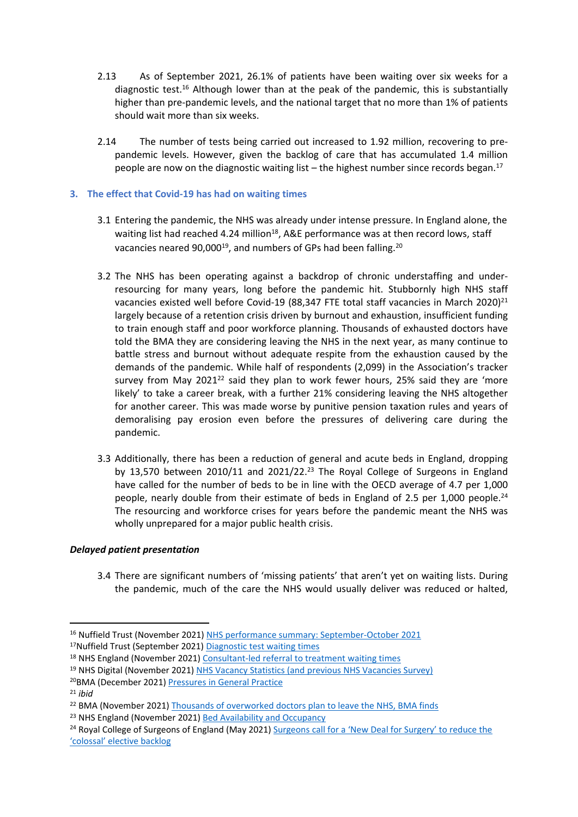- 2.13 As of September 2021, 26.1% of patients have been waiting over six weeks for a diagnostic test.<sup>16</sup> Although lower than at the peak of the pandemic, this is substantially higher than pre-pandemic levels, and the national target that no more than 1% of patients should wait more than six weeks.
- 2.14 The number of tests being carried out increased to 1.92 million, recovering to prepandemic levels. However, given the backlog of care that has accumulated 1.4 million people are now on the diagnostic waiting list  $-$  the highest number since records began.<sup>17</sup>

## **3. The effect that Covid-19 has had on waiting times**

- 3.1 Entering the pandemic, the NHS was already under intense pressure. In England alone, the waiting list had reached 4.24 million<sup>18</sup>, A&E performance was at then record lows, staff vacancies neared 90,000<sup>19</sup>, and numbers of GPs had been falling.<sup>20</sup>
- 3.2 The NHS has been operating against a backdrop of chronic understaffing and underresourcing for many years, long before the pandemic hit. Stubbornly high NHS staff vacancies existed well before Covid-19 (88,347 FTE total staff vacancies in March 2020)<sup>21</sup> largely because of a retention crisis driven by burnout and exhaustion, insufficient funding to train enough staff and poor workforce planning. Thousands of exhausted doctors have told the BMA they are considering leaving the NHS in the next year, as many continue to battle stress and burnout without adequate respite from the exhaustion caused by the demands of the pandemic. While half of respondents (2,099) in the Association's tracker survey from May 2021 $^{22}$  said they plan to work fewer hours, 25% said they are 'more likely' to take a career break, with a further 21% considering leaving the NHS altogether for another career. This was made worse by punitive pension taxation rules and years of demoralising pay erosion even before the pressures of delivering care during the pandemic.
- 3.3 Additionally, there has been a reduction of general and acute beds in England, dropping by 13,570 between 2010/11 and 2021/22.<sup>23</sup> The Royal College of Surgeons in England have called for the number of beds to be in line with the OECD average of 4.7 per 1,000 people, nearly double from their estimate of beds in England of 2.5 per 1,000 people.<sup>24</sup> The resourcing and workforce crises for years before the pandemic meant the NHS was wholly unprepared for a major public health crisis.

## *Delayed patient presentation*

3.4 There are significant numbers of 'missing patients' that aren't yet on waiting lists. During the pandemic, much of the care the NHS would usually deliver was reduced or halted,

<sup>20</sup>BMA (December 2021) [Pressures](https://www.bma.org.uk/advice-and-support/nhs-delivery-and-workforce/pressures/pressures-in-general-practice) [in](https://www.bma.org.uk/advice-and-support/nhs-delivery-and-workforce/pressures/pressures-in-general-practice) [General](https://www.bma.org.uk/advice-and-support/nhs-delivery-and-workforce/pressures/pressures-in-general-practice) [Practice](https://www.bma.org.uk/advice-and-support/nhs-delivery-and-workforce/pressures/pressures-in-general-practice)

<sup>16</sup> Nuffield Trust (November 2021) [NHS](https://www.nuffieldtrust.org.uk/news-item/nhs-performance-summary-september-october-2021#planned-elective-and-diagnostic-care) [performance](https://www.nuffieldtrust.org.uk/news-item/nhs-performance-summary-september-october-2021#planned-elective-and-diagnostic-care) [summary:](https://www.nuffieldtrust.org.uk/news-item/nhs-performance-summary-september-october-2021#planned-elective-and-diagnostic-care) [September-October](https://www.nuffieldtrust.org.uk/news-item/nhs-performance-summary-september-october-2021#planned-elective-and-diagnostic-care) [2021](https://www.nuffieldtrust.org.uk/news-item/nhs-performance-summary-september-october-2021#planned-elective-and-diagnostic-care) <sup>17</sup>Nuffield Trust (September 2021) [Diagnostic](https://www.nuffieldtrust.org.uk/resource/diagnostic-test-waiting-times#background) [test](https://www.nuffieldtrust.org.uk/resource/diagnostic-test-waiting-times#background) [waiting](https://www.nuffieldtrust.org.uk/resource/diagnostic-test-waiting-times#background) [times](https://www.nuffieldtrust.org.uk/resource/diagnostic-test-waiting-times#background)

<sup>18</sup> NHS England (November 2021) [Consultant-led](https://www.england.nhs.uk/statistics/statistical-work-areas/rtt-waiting-times/) [referral](https://www.england.nhs.uk/statistics/statistical-work-areas/rtt-waiting-times/) [to](https://www.england.nhs.uk/statistics/statistical-work-areas/rtt-waiting-times/) [treatment](https://www.england.nhs.uk/statistics/statistical-work-areas/rtt-waiting-times/) [waiting](https://www.england.nhs.uk/statistics/statistical-work-areas/rtt-waiting-times/) [times](https://www.england.nhs.uk/statistics/statistical-work-areas/rtt-waiting-times/)

<sup>19</sup> NHS Digital (November 2021) [NHS](https://digital.nhs.uk/data-and-information/publications/statistical/nhs-vacancies-survey) [Vacancy](https://digital.nhs.uk/data-and-information/publications/statistical/nhs-vacancies-survey) [Statistics](https://digital.nhs.uk/data-and-information/publications/statistical/nhs-vacancies-survey) [\(and](https://digital.nhs.uk/data-and-information/publications/statistical/nhs-vacancies-survey) [previous](https://digital.nhs.uk/data-and-information/publications/statistical/nhs-vacancies-survey) [NHS](https://digital.nhs.uk/data-and-information/publications/statistical/nhs-vacancies-survey) [Vacancies](https://digital.nhs.uk/data-and-information/publications/statistical/nhs-vacancies-survey) [Survey\)](https://digital.nhs.uk/data-and-information/publications/statistical/nhs-vacancies-survey)

<sup>21</sup> *ibid*

<sup>&</sup>lt;sup>22</sup> BMA (November 2021) [Thousands](https://www.bma.org.uk/bma-media-centre/thousands-of-overworked-doctors-plan-to-leave-the-nhs-bma-finds) [of](https://www.bma.org.uk/bma-media-centre/thousands-of-overworked-doctors-plan-to-leave-the-nhs-bma-finds) [overworked](https://www.bma.org.uk/bma-media-centre/thousands-of-overworked-doctors-plan-to-leave-the-nhs-bma-finds) [doctors](https://www.bma.org.uk/bma-media-centre/thousands-of-overworked-doctors-plan-to-leave-the-nhs-bma-finds) [plan](https://www.bma.org.uk/bma-media-centre/thousands-of-overworked-doctors-plan-to-leave-the-nhs-bma-finds) [to](https://www.bma.org.uk/bma-media-centre/thousands-of-overworked-doctors-plan-to-leave-the-nhs-bma-finds) [leave](https://www.bma.org.uk/bma-media-centre/thousands-of-overworked-doctors-plan-to-leave-the-nhs-bma-finds) [the](https://www.bma.org.uk/bma-media-centre/thousands-of-overworked-doctors-plan-to-leave-the-nhs-bma-finds) [NHS,](https://www.bma.org.uk/bma-media-centre/thousands-of-overworked-doctors-plan-to-leave-the-nhs-bma-finds) [BMA](https://www.bma.org.uk/bma-media-centre/thousands-of-overworked-doctors-plan-to-leave-the-nhs-bma-finds) [finds](https://www.bma.org.uk/bma-media-centre/thousands-of-overworked-doctors-plan-to-leave-the-nhs-bma-finds)

<sup>&</sup>lt;sup>23</sup> NHS Engl[and](https://www.england.nhs.uk/statistics/statistical-work-areas/bed-availability-and-occupancy/) (November 2021) **[Bed](https://www.england.nhs.uk/statistics/statistical-work-areas/bed-availability-and-occupancy/) [Availability](https://www.england.nhs.uk/statistics/statistical-work-areas/bed-availability-and-occupancy/) and [Occupancy](https://www.england.nhs.uk/statistics/statistical-work-areas/bed-availability-and-occupancy/)** 

<sup>24</sup> Royal College of Surgeons of England (May 2021) [Surgeons](https://www.rcseng.ac.uk/news-and-events/media-centre/press-releases/new-deal-for-surgery-2021/) [call](https://www.rcseng.ac.uk/news-and-events/media-centre/press-releases/new-deal-for-surgery-2021/) [for a 'New](https://www.rcseng.ac.uk/news-and-events/media-centre/press-releases/new-deal-for-surgery-2021/) [Deal](https://www.rcseng.ac.uk/news-and-events/media-centre/press-releases/new-deal-for-surgery-2021/) [for](https://www.rcseng.ac.uk/news-and-events/media-centre/press-releases/new-deal-for-surgery-2021/) [Surgery' to](https://www.rcseng.ac.uk/news-and-events/media-centre/press-releases/new-deal-for-surgery-2021/) [reduce](https://www.rcseng.ac.uk/news-and-events/media-centre/press-releases/new-deal-for-surgery-2021/) [the](https://www.rcseng.ac.uk/news-and-events/media-centre/press-releases/new-deal-for-surgery-2021/) ['colossal'](https://www.rcseng.ac.uk/news-and-events/media-centre/press-releases/new-deal-for-surgery-2021/) [elective](https://www.rcseng.ac.uk/news-and-events/media-centre/press-releases/new-deal-for-surgery-2021/) [backlog](https://www.rcseng.ac.uk/news-and-events/media-centre/press-releases/new-deal-for-surgery-2021/)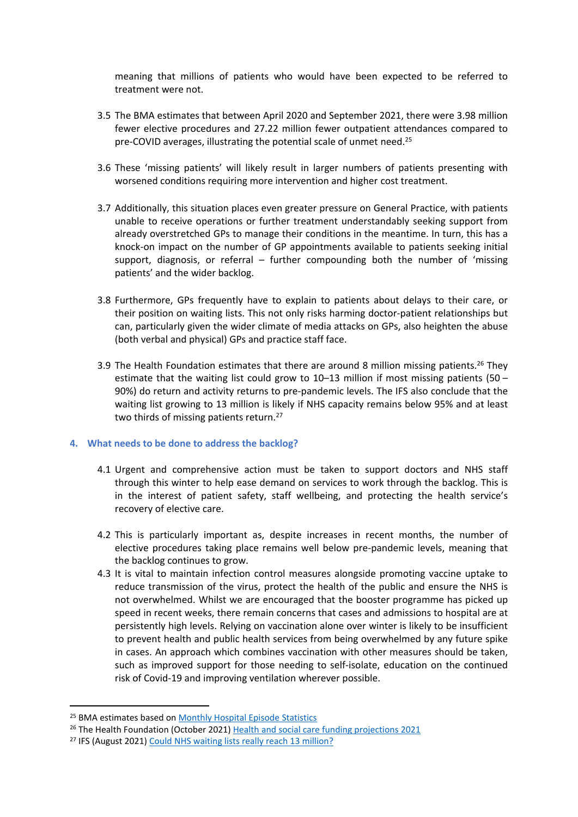meaning that millions of patients who would have been expected to be referred to treatment were not.

- 3.5 The BMA estimates that between April 2020 and September 2021, there were 3.98 million fewer elective procedures and 27.22 million fewer outpatient attendances compared to pre-COVID averages, illustrating the potential scale of unmet need.<sup>25</sup>
- 3.6 These 'missing patients' will likely result in larger numbers of patients presenting with worsened conditions requiring more intervention and higher cost treatment.
- 3.7 Additionally, this situation places even greater pressure on General Practice, with patients unable to receive operations or further treatment understandably seeking support from already overstretched GPs to manage their conditions in the meantime. In turn, this has a knock-on impact on the number of GP appointments available to patients seeking initial support, diagnosis, or referral – further compounding both the number of 'missing patients' and the wider backlog.
- 3.8 Furthermore, GPs frequently have to explain to patients about delays to their care, or their position on waiting lists. This not only risks harming doctor-patient relationships but can, particularly given the wider climate of media attacks on GPs, also heighten the abuse (both verbal and physical) GPs and practice staff face.
- 3.9 The Health Foundation estimates that there are around 8 million missing patients.<sup>26</sup> They estimate that the waiting list could grow to 10–13 million if most missing patients (50 – 90%) do return and activity returns to pre-pandemic levels. The IFS also conclude that the waiting list growing to 13 million is likely if NHS capacity remains below 95% and at least two thirds of missing patients return.<sup>27</sup>

## **4. What needs to be done to address the backlog?**

- 4.1 Urgent and comprehensive action must be taken to support doctors and NHS staff through this winter to help ease demand on services to work through the backlog. This is in the interest of patient safety, staff wellbeing, and protecting the health service's recovery of elective care.
- 4.2 This is particularly important as, despite increases in recent months, the number of elective procedures taking place remains well below pre-pandemic levels, meaning that the backlog continues to grow.
- 4.3 It is vital to maintain infection control measures alongside promoting vaccine uptake to reduce transmission of the virus, protect the health of the public and ensure the NHS is not overwhelmed. Whilst we are encouraged that the booster programme has picked up speed in recent weeks, there remain concerns that cases and admissions to hospital are at persistently high levels. Relying on vaccination alone over winter is likely to be insufficient to prevent health and public health services from being overwhelmed by any future spike in cases. An approach which combines vaccination with other measures should be taken, such as improved support for those needing to self-isolate, education on the continued risk of Covid-19 and improving ventilation wherever possible.

<sup>&</sup>lt;sup>25</sup> BMA estimates based on **[Monthly](https://digital.nhs.uk/data-and-information/publications/statistical/hospital-episode-statistics-for-admitted-patient-care-outpatient-and-accident-and-emergency-data) [Hospital](https://digital.nhs.uk/data-and-information/publications/statistical/hospital-episode-statistics-for-admitted-patient-care-outpatient-and-accident-and-emergency-data) [Episode](https://digital.nhs.uk/data-and-information/publications/statistical/hospital-episode-statistics-for-admitted-patient-care-outpatient-and-accident-and-emergency-data) [Statistics](https://digital.nhs.uk/data-and-information/publications/statistical/hospital-episode-statistics-for-admitted-patient-care-outpatient-and-accident-and-emergency-data)** 

<sup>&</sup>lt;sup>26</sup> The [Health](https://www.health.org.uk/publications/health-and-social-care-funding-projections-2021) Foundation (October 2021) Health [and](https://www.health.org.uk/publications/health-and-social-care-funding-projections-2021) [social](https://www.health.org.uk/publications/health-and-social-care-funding-projections-2021) [care](https://www.health.org.uk/publications/health-and-social-care-funding-projections-2021) [funding](https://www.health.org.uk/publications/health-and-social-care-funding-projections-2021) [projections](https://www.health.org.uk/publications/health-and-social-care-funding-projections-2021) [2021](https://www.health.org.uk/publications/health-and-social-care-funding-projections-2021)

<sup>&</sup>lt;sup>27</sup> IFS (August 2021) [Could](https://ifs.org.uk/publications/15557) [NHS](https://ifs.org.uk/publications/15557) [waiting](https://ifs.org.uk/publications/15557) [lists](https://ifs.org.uk/publications/15557) [really](https://ifs.org.uk/publications/15557) [reach](https://ifs.org.uk/publications/15557) [13](https://ifs.org.uk/publications/15557) [million?](https://ifs.org.uk/publications/15557)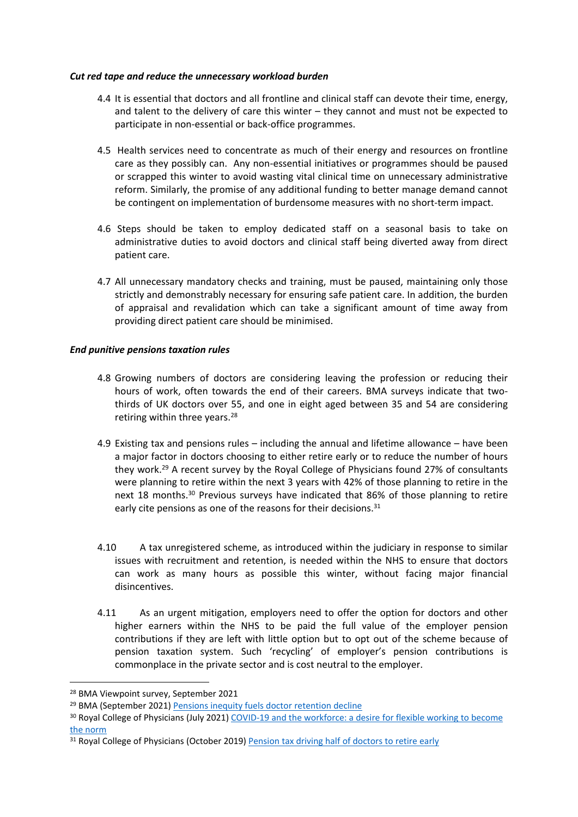## *Cut red tape and reduce the unnecessary workload burden*

- 4.4 It is essential that doctors and all frontline and clinical staff can devote their time, energy, and talent to the delivery of care this winter – they cannot and must not be expected to participate in non-essential or back-office programmes.
- 4.5 Health services need to concentrate as much of their energy and resources on frontline care as they possibly can. Any non-essential initiatives or programmes should be paused or scrapped this winter to avoid wasting vital clinical time on unnecessary administrative reform. Similarly, the promise of any additional funding to better manage demand cannot be contingent on implementation of burdensome measures with no short-term impact.
- 4.6 Steps should be taken to employ dedicated staff on a seasonal basis to take on administrative duties to avoid doctors and clinical staff being diverted away from direct patient care.
- 4.7 All unnecessary mandatory checks and training, must be paused, maintaining only those strictly and demonstrably necessary for ensuring safe patient care. In addition, the burden of appraisal and revalidation which can take a significant amount of time away from providing direct patient care should be minimised.

## *End punitive pensions taxation rules*

- 4.8 Growing numbers of doctors are considering leaving the profession or reducing their hours of work, often towards the end of their careers. BMA surveys indicate that twothirds of UK doctors over 55, and one in eight aged between 35 and 54 are considering retiring within three years.<sup>28</sup>
- 4.9 Existing tax and pensions rules including the annual and lifetime allowance have been a major factor in doctors choosing to either retire early or to reduce the number of hours they work.<sup>29</sup> A recent survey by the Royal College of Physicians found 27% of consultants were planning to retire within the next 3 years with 42% of those planning to retire in the next 18 months.<sup>30</sup> Previous surveys have indicated that 86% of those planning to retire early cite pensions as one of the reasons for their decisions.<sup>31</sup>
- 4.10 A tax unregistered scheme, as introduced within the judiciary in response to similar issues with recruitment and retention, is needed within the NHS to ensure that doctors can work as many hours as possible this winter, without facing major financial disincentives.
- 4.11 As an urgent mitigation, employers need to offer the option for doctors and other higher earners within the NHS to be paid the full value of the employer pension contributions if they are left with little option but to opt out of the scheme because of pension taxation system. Such 'recycling' of employer's pension contributions is commonplace in the private sector and is cost neutral to the employer.

<sup>28</sup> BMA Viewpoint survey, September 2021

<sup>&</sup>lt;sup>29</sup> BMA (September 2021) [Pensions](https://www.bma.org.uk/news-and-opinion/pensions-inequity-fuels-doctor-retention-decline) [inequity](https://www.bma.org.uk/news-and-opinion/pensions-inequity-fuels-doctor-retention-decline) [fuels](https://www.bma.org.uk/news-and-opinion/pensions-inequity-fuels-doctor-retention-decline) [doctor](https://www.bma.org.uk/news-and-opinion/pensions-inequity-fuels-doctor-retention-decline) [retention](https://www.bma.org.uk/news-and-opinion/pensions-inequity-fuels-doctor-retention-decline) [decline](https://www.bma.org.uk/news-and-opinion/pensions-inequity-fuels-doctor-retention-decline)

<sup>30</sup> Royal College of Physicians (July 2021) [COVID-19](https://www.rcplondon.ac.uk/projects/outputs/covid-19-and-workforce-desire-flexible-working-become-norm) [and](https://www.rcplondon.ac.uk/projects/outputs/covid-19-and-workforce-desire-flexible-working-become-norm) [the](https://www.rcplondon.ac.uk/projects/outputs/covid-19-and-workforce-desire-flexible-working-become-norm) [workforce:](https://www.rcplondon.ac.uk/projects/outputs/covid-19-and-workforce-desire-flexible-working-become-norm) [a](https://www.rcplondon.ac.uk/projects/outputs/covid-19-and-workforce-desire-flexible-working-become-norm) [desire](https://www.rcplondon.ac.uk/projects/outputs/covid-19-and-workforce-desire-flexible-working-become-norm) [for](https://www.rcplondon.ac.uk/projects/outputs/covid-19-and-workforce-desire-flexible-working-become-norm) [flexible](https://www.rcplondon.ac.uk/projects/outputs/covid-19-and-workforce-desire-flexible-working-become-norm) [working](https://www.rcplondon.ac.uk/projects/outputs/covid-19-and-workforce-desire-flexible-working-become-norm) [to](https://www.rcplondon.ac.uk/projects/outputs/covid-19-and-workforce-desire-flexible-working-become-norm) [become](https://www.rcplondon.ac.uk/projects/outputs/covid-19-and-workforce-desire-flexible-working-become-norm) [the](https://www.rcplondon.ac.uk/projects/outputs/covid-19-and-workforce-desire-flexible-working-become-norm) [norm](https://www.rcplondon.ac.uk/projects/outputs/covid-19-and-workforce-desire-flexible-working-become-norm)

<sup>&</sup>lt;sup>31</sup> Royal College of Physicians (October 2019) [Pension](https://www.rcplondon.ac.uk/news/pension-tax-driving-half-doctors-retire-early) [tax](https://www.rcplondon.ac.uk/news/pension-tax-driving-half-doctors-retire-early) [driving](https://www.rcplondon.ac.uk/news/pension-tax-driving-half-doctors-retire-early) [half](https://www.rcplondon.ac.uk/news/pension-tax-driving-half-doctors-retire-early) [of](https://www.rcplondon.ac.uk/news/pension-tax-driving-half-doctors-retire-early) [doctors](https://www.rcplondon.ac.uk/news/pension-tax-driving-half-doctors-retire-early) [to](https://www.rcplondon.ac.uk/news/pension-tax-driving-half-doctors-retire-early) [retire](https://www.rcplondon.ac.uk/news/pension-tax-driving-half-doctors-retire-early) [early](https://www.rcplondon.ac.uk/news/pension-tax-driving-half-doctors-retire-early)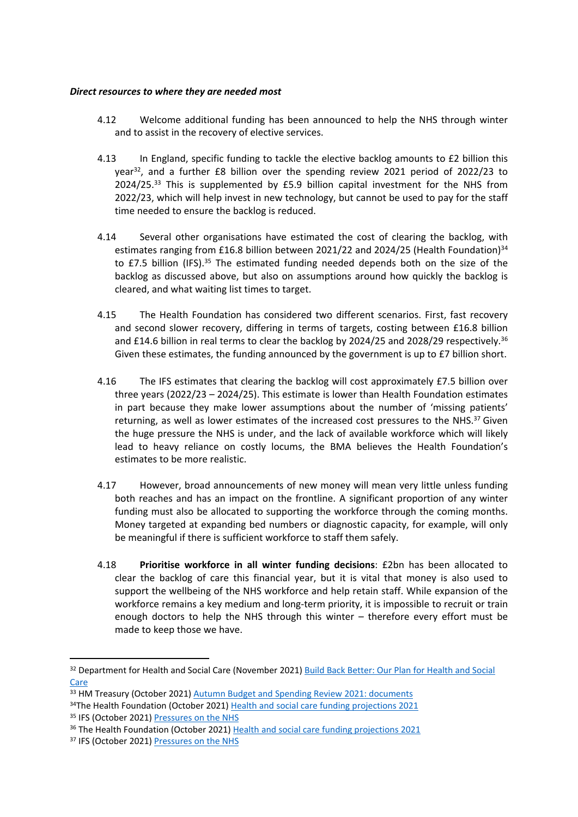## *Direct resources to where they are needed most*

- 4.12 Welcome additional funding has been announced to help the NHS through winter and to assist in the recovery of elective services.
- 4.13 In England, specific funding to tackle the elective backlog amounts to £2 billion this year<sup>32</sup>, and a further £8 billion over the spending review 2021 period of 2022/23 to 2024/25.<sup>33</sup> This is supplemented by £5.9 billion capital investment for the NHS from 2022/23, which will help invest in new technology, but cannot be used to pay for the staff time needed to ensure the backlog is reduced.
- 4.14 Several other organisations have estimated the cost of clearing the backlog, with estimates ranging from £16.8 billion between 2021/22 and 2024/25 (Health Foundation)<sup>34</sup> to  $£7.5$  billion (IFS).<sup>35</sup> The estimated funding needed depends both on the size of the backlog as discussed above, but also on assumptions around how quickly the backlog is cleared, and what waiting list times to target.
- 4.15 The Health Foundation has considered two different scenarios. First, fast recovery and second slower recovery, differing in terms of targets, costing between £16.8 billion and £14.6 billion in real terms to clear the backlog by 2024/25 and 2028/29 respectively.<sup>36</sup> Given these estimates, the funding announced by the government is up to £7 billion short.
- 4.16 The IFS estimates that clearing the backlog will cost approximately £7.5 billion over three years (2022/23 – 2024/25). This estimate is lower than Health Foundation estimates in part because they make lower assumptions about the number of 'missing patients' returning, as well as lower estimates of the increased cost pressures to the NHS.<sup>37</sup> Given the huge pressure the NHS is under, and the lack of available workforce which will likely lead to heavy reliance on costly locums, the BMA believes the Health Foundation's estimates to be more realistic.
- 4.17 However, broad announcements of new money will mean very little unless funding both reaches and has an impact on the frontline. A significant proportion of any winter funding must also be allocated to supporting the workforce through the coming months. Money targeted at expanding bed numbers or diagnostic capacity, for example, will only be meaningful if there is sufficient workforce to staff them safely.
- 4.18 **Prioritise workforce in all winter funding decisions**: £2bn has been allocated to clear the backlog of care this financial year, but it is vital that money is also used to support the wellbeing of the NHS workforce and help retain staff. While expansion of the workforce remains a key medium and long-term priority, it is impossible to recruit or train enough doctors to help the NHS through this winter – therefore every effort must be made to keep those we have.

<sup>32</sup> Department for Health and Social Care (November 2021) [Build](https://www.gov.uk/government/publications/build-back-better-our-plan-for-health-and-social-care/build-back-better-our-plan-for-health-and-social-care) [Back](https://www.gov.uk/government/publications/build-back-better-our-plan-for-health-and-social-care/build-back-better-our-plan-for-health-and-social-care) [Better:](https://www.gov.uk/government/publications/build-back-better-our-plan-for-health-and-social-care/build-back-better-our-plan-for-health-and-social-care) [Our](https://www.gov.uk/government/publications/build-back-better-our-plan-for-health-and-social-care/build-back-better-our-plan-for-health-and-social-care) [Plan](https://www.gov.uk/government/publications/build-back-better-our-plan-for-health-and-social-care/build-back-better-our-plan-for-health-and-social-care) [for](https://www.gov.uk/government/publications/build-back-better-our-plan-for-health-and-social-care/build-back-better-our-plan-for-health-and-social-care) [Health](https://www.gov.uk/government/publications/build-back-better-our-plan-for-health-and-social-care/build-back-better-our-plan-for-health-and-social-care) [and](https://www.gov.uk/government/publications/build-back-better-our-plan-for-health-and-social-care/build-back-better-our-plan-for-health-and-social-care) [Social](https://www.gov.uk/government/publications/build-back-better-our-plan-for-health-and-social-care/build-back-better-our-plan-for-health-and-social-care) [Care](https://www.gov.uk/government/publications/build-back-better-our-plan-for-health-and-social-care/build-back-better-our-plan-for-health-and-social-care)

<sup>33</sup> HM Treasury (October 2021) [Autumn](https://www.gov.uk/government/publications/autumn-budget-and-spending-review-2021-documents) [Budget](https://www.gov.uk/government/publications/autumn-budget-and-spending-review-2021-documents) [and](https://www.gov.uk/government/publications/autumn-budget-and-spending-review-2021-documents) [Spending](https://www.gov.uk/government/publications/autumn-budget-and-spending-review-2021-documents) [Review](https://www.gov.uk/government/publications/autumn-budget-and-spending-review-2021-documents) [2021:](https://www.gov.uk/government/publications/autumn-budget-and-spending-review-2021-documents) [documents](https://www.gov.uk/government/publications/autumn-budget-and-spending-review-2021-documents)

<sup>34</sup>The [Health](https://www.health.org.uk/publications/health-and-social-care-funding-projections-2021) Foundation (October 2021) Health [and](https://www.health.org.uk/publications/health-and-social-care-funding-projections-2021) [social](https://www.health.org.uk/publications/health-and-social-care-funding-projections-2021) [care](https://www.health.org.uk/publications/health-and-social-care-funding-projections-2021) [funding](https://www.health.org.uk/publications/health-and-social-care-funding-projections-2021) [projections](https://www.health.org.uk/publications/health-and-social-care-funding-projections-2021) [2021](https://www.health.org.uk/publications/health-and-social-care-funding-projections-2021) 35 IFS (October 2021) [Pressures](https://ifs.org.uk/uploads/Green-Budget-2021-Pressures-on-the-NHS.pdf) [on](https://ifs.org.uk/uploads/Green-Budget-2021-Pressures-on-the-NHS.pdf) [the](https://ifs.org.uk/uploads/Green-Budget-2021-Pressures-on-the-NHS.pdf) [NHS](https://ifs.org.uk/uploads/Green-Budget-2021-Pressures-on-the-NHS.pdf)

<sup>&</sup>lt;sup>36</sup> The [Health](https://www.health.org.uk/publications/health-and-social-care-funding-projections-2021) Foundation (October 2021) Health [and](https://www.health.org.uk/publications/health-and-social-care-funding-projections-2021) [social](https://www.health.org.uk/publications/health-and-social-care-funding-projections-2021) [care](https://www.health.org.uk/publications/health-and-social-care-funding-projections-2021) [funding](https://www.health.org.uk/publications/health-and-social-care-funding-projections-2021) [projections](https://www.health.org.uk/publications/health-and-social-care-funding-projections-2021) [2021](https://www.health.org.uk/publications/health-and-social-care-funding-projections-2021)

<sup>&</sup>lt;sup>37</sup> IFS (October 2021) [Pressures](https://ifs.org.uk/uploads/Green-Budget-2021-Pressures-on-the-NHS.pdf) [on](https://ifs.org.uk/uploads/Green-Budget-2021-Pressures-on-the-NHS.pdf) [the](https://ifs.org.uk/uploads/Green-Budget-2021-Pressures-on-the-NHS.pdf) [NHS](https://ifs.org.uk/uploads/Green-Budget-2021-Pressures-on-the-NHS.pdf)